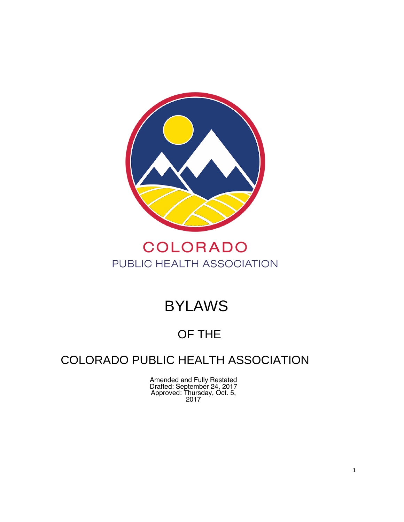

## COLORADO PUBLIC HEALTH ASSOCIATION

# BYLAWS

### OF THE

### COLORADO PUBLIC HEALTH ASSOCIATION

Amended and Fully Restated Drafted: September 24, 2017 Approved: Thursday, Oct. 5, 2017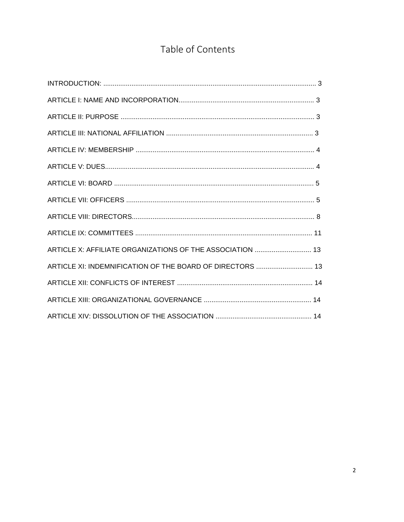### Table of Contents

| ARTICLE XI: INDEMNIFICATION OF THE BOARD OF DIRECTORS  13 |
|-----------------------------------------------------------|
|                                                           |
|                                                           |
|                                                           |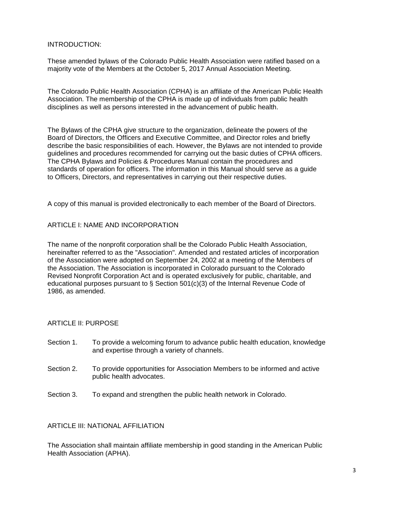#### INTRODUCTION:

These amended bylaws of the Colorado Public Health Association were ratified based on a majority vote of the Members at the October 5, 2017 Annual Association Meeting.

The Colorado Public Health Association (CPHA) is an affiliate of the American Public Health Association. The membership of the CPHA is made up of individuals from public health disciplines as well as persons interested in the advancement of public health.

The Bylaws of the CPHA give structure to the organization, delineate the powers of the Board of Directors, the Officers and Executive Committee, and Director roles and briefly describe the basic responsibilities of each. However, the Bylaws are not intended to provide guidelines and procedures recommended for carrying out the basic duties of CPHA officers. The CPHA Bylaws and Policies & Procedures Manual contain the procedures and standards of operation for officers. The information in this Manual should serve as a guide to Officers, Directors, and representatives in carrying out their respective duties.

A copy of this manual is provided electronically to each member of the Board of Directors.

#### ARTICLE I: NAME AND INCORPORATION

The name of the nonprofit corporation shall be the Colorado Public Health Association, hereinafter referred to as the "Association". Amended and restated articles of incorporation of the Association were adopted on September 24, 2002 at a meeting of the Members of the Association. The Association is incorporated in Colorado pursuant to the Colorado Revised Nonprofit Corporation Act and is operated exclusively for public, charitable, and educational purposes pursuant to § Section 501(c)(3) of the Internal Revenue Code of 1986, as amended.

#### ARTICLE II: PURPOSE

- Section 1. To provide a welcoming forum to advance public health education, knowledge and expertise through a variety of channels.
- Section 2. To provide opportunities for Association Members to be informed and active public health advocates.
- Section 3. To expand and strengthen the public health network in Colorado.

#### ARTICLE III: NATIONAL AFFILIATION

The Association shall maintain affiliate membership in good standing in the American Public Health Association (APHA).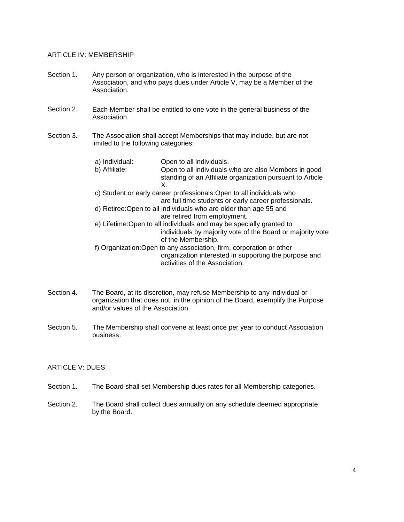#### ARTICLE IV: MEMBERSHIP

- Section 1. Any person or organization, who is interested in the purpose of the Association, and who pays dues under Article V, may be a Member of the Association.
- Each Member shall be entitled to one vote in the general business of the Association. Section 2.
- The Association shall accept Memberships that may include, but are not limited to the following categories: Section 3.

|  | a) Individual:<br>b) Affiliate:                                       | Open to all individuals.<br>Open to all individuals who are also Members in good<br>standing of an Affiliate organization pursuant to Article<br>Χ.             |  |
|--|-----------------------------------------------------------------------|-----------------------------------------------------------------------------------------------------------------------------------------------------------------|--|
|  | c) Student or early career professionals: Open to all individuals who |                                                                                                                                                                 |  |
|  |                                                                       | are full time students or early career professionals.                                                                                                           |  |
|  |                                                                       | d) Retiree: Open to all individuals who are older than age 55 and                                                                                               |  |
|  |                                                                       | are retired from employment.                                                                                                                                    |  |
|  | e) Lifetime: Open to all individuals and may be specially granted to  |                                                                                                                                                                 |  |
|  |                                                                       | individuals by majority vote of the Board or majority vote                                                                                                      |  |
|  |                                                                       | of the Membership.                                                                                                                                              |  |
|  |                                                                       | f) Organization: Open to any association, firm, corporation or other<br>organization interested in supporting the purpose and<br>activities of the Association. |  |
|  |                                                                       |                                                                                                                                                                 |  |

- Section 4. The Board, at its discretion, may refuse Membership to any individual or organization that does not, in the opinion of the Board, exemplify the Purpose and/or values of the Association.
- The Membership shall convene at least once per year to conduct Association business. Section 5.

#### ARTICLE V: DUES

- Section 1. The Board shall set Membership dues rates for all Membership categories.
- Section 2. The Board shall collect dues annually on any schedule deemed appropriate by the Board.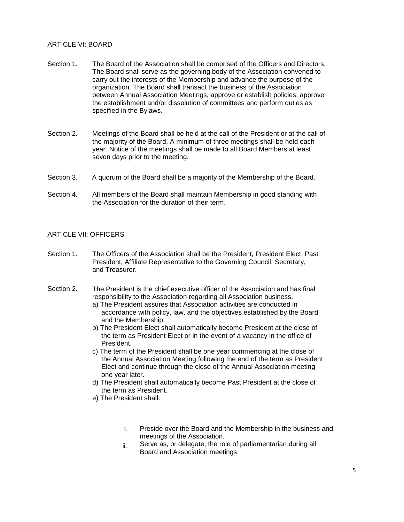#### ARTICLE VI: BOARD

- Section 1. The Board of the Association shall be comprised of the Officers and Directors. The Board shall serve as the governing body of the Association convened to carry out the interests of the Membership and advance the purpose of the organization. The Board shall transact the business of the Association between Annual Association Meetings, approve or establish policies, approve the establishment and/or dissolution of committees and perform duties as specified in the Bylaws.
- Meetings of the Board shall be held at the call of the President or at the call of the majority of the Board. A minimum of three meetings shall be held each year. Notice of the meetings shall be made to all Board Members at least seven days prior to the meeting. Section 2.
- A quorum of the Board shall be a majority of the Membership of the Board. Section 3.
- All members of the Board shall maintain Membership in good standing with the Association for the duration of their term. Section 4.

#### ARTICLE VII: OFFICERS

- Section 1. The Officers of the Association shall be the President, President Elect, Past President, Affiliate Representative to the Governing Council, Secretary, and Treasurer.
- The President is the chief executive officer of the Association and has final responsibility to the Association regarding all Association business. Section 2.
	- a) The President assures that Association activities are conducted in accordance with policy, law, and the objectives established by the Board and the Membership.
	- b) The President Elect shall automatically become President at the close of the term as President Elect or in the event of a vacancy in the office of President.
	- c) The term of the President shall be one year commencing at the close of the Annual Association Meeting following the end of the term as President Elect and continue through the close of the Annual Association meeting one year later.
	- d) The President shall automatically become Past President at the close of the term as President.
	- e) The President shall:
		- i. Preside over the Board and the Membership in the business and meetings of the Association.
		- ii. Serve as, or delegate, the role of parliamentarian during all Board and Association meetings.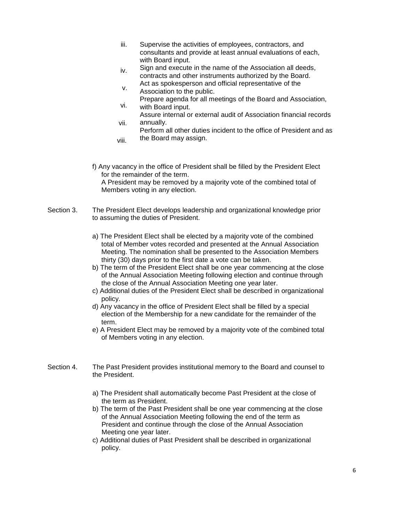- iii. Supervise the activities of employees, contractors, and consultants and provide at least annual evaluations of each, with Board input.
- iv. Sign and execute in the name of the Association all deeds, contracts and other instruments authorized by the Board. Act as spokesperson and official representative of the
- v. Association to the public.
- vi. Prepare agenda for all meetings of the Board and Association, with Board input.
- vii. Assure internal or external audit of Association financial records annually.
- viii. Perform all other duties incident to the office of President and as the Board may assign.
- f) Any vacancy in the office of President shall be filled by the President Elect for the remainder of the term. A President may be removed by a majority vote of the combined total of Members voting in any election.
- Section 3. The President Elect develops leadership and organizational knowledge prior to assuming the duties of President.
	- a) The President Elect shall be elected by a majority vote of the combined total of Member votes recorded and presented at the Annual Association Meeting. The nomination shall be presented to the Association Members thirty (30) days prior to the first date a vote can be taken.
	- b) The term of the President Elect shall be one year commencing at the close of the Annual Association Meeting following election and continue through the close of the Annual Association Meeting one year later.
	- c) Additional duties of the President Elect shall be described in organizational policy.
	- d) Any vacancy in the office of President Elect shall be filled by a special election of the Membership for a new candidate for the remainder of the term.
	- e) A President Elect may be removed by a majority vote of the combined total of Members voting in any election.
- Section 4. The Past President provides institutional memory to the Board and counsel to the President.
	- a) The President shall automatically become Past President at the close of the term as President.
	- b) The term of the Past President shall be one year commencing at the close of the Annual Association Meeting following the end of the term as President and continue through the close of the Annual Association Meeting one year later.
	- c) Additional duties of Past President shall be described in organizational policy.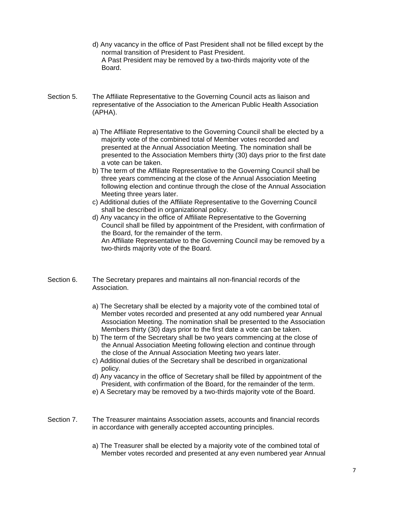- d) Any vacancy in the office of Past President shall not be filled except by the normal transition of President to Past President. A Past President may be removed by a two-thirds majority vote of the **Board**
- Section 5. The Affiliate Representative to the Governing Council acts as liaison and representative of the Association to the American Public Health Association (APHA).
	- a) The Affiliate Representative to the Governing Council shall be elected by a majority vote of the combined total of Member votes recorded and presented at the Annual Association Meeting. The nomination shall be presented to the Association Members thirty (30) days prior to the first date a vote can be taken.
	- b) The term of the Affiliate Representative to the Governing Council shall be three years commencing at the close of the Annual Association Meeting following election and continue through the close of the Annual Association Meeting three years later.
	- c) Additional duties of the Affiliate Representative to the Governing Council shall be described in organizational policy.
	- d) Any vacancy in the office of Affiliate Representative to the Governing Council shall be filled by appointment of the President, with confirmation of the Board, for the remainder of the term. An Affiliate Representative to the Governing Council may be removed by a two-thirds majority vote of the Board.
- Section 6. The Secretary prepares and maintains all non-financial records of the Association.
	- a) The Secretary shall be elected by a majority vote of the combined total of Member votes recorded and presented at any odd numbered year Annual Association Meeting. The nomination shall be presented to the Association Members thirty (30) days prior to the first date a vote can be taken.
	- b) The term of the Secretary shall be two years commencing at the close of the Annual Association Meeting following election and continue through the close of the Annual Association Meeting two years later.
	- c) Additional duties of the Secretary shall be described in organizational policy.
	- d) Any vacancy in the office of Secretary shall be filled by appointment of the President, with confirmation of the Board, for the remainder of the term.
	- e) A Secretary may be removed by a two-thirds majority vote of the Board.
- Section 7. The Treasurer maintains Association assets, accounts and financial records in accordance with generally accepted accounting principles.
	- a) The Treasurer shall be elected by a majority vote of the combined total of Member votes recorded and presented at any even numbered year Annual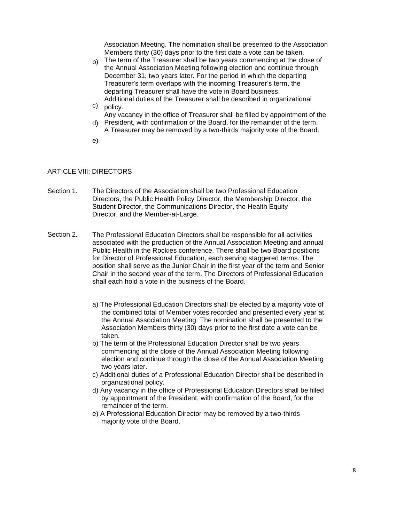Association Meeting. The nomination shall be presented to the Association Members thirty (30) days prior to the first date a vote can be taken.

- b) The term of the Treasurer shall be two years commencing at the close of the Annual Association Meeting following election and continue through December 31, two years later. For the period in which the departing Treasurer's term overlaps with the incoming Treasurer's term, the departing Treasurer shall have the vote in Board business. Additional duties of the Treasurer shall be described in organizational
- c) policy. Any vacancy in the office of Treasurer shall be filled by appointment of the
- d) President, with confirmation of the Board, for the remainder of the term. A Treasurer may be removed by a two-thirds majority vote of the Board.
- e)

#### ARTICLE VIII: DIRECTORS

- Section 1. The Directors of the Association shall be two Professional Education Directors, the Public Health Policy Director, the Membership Director, the Student Director, the Communications Director, the Health Equity Director, and the Member-at-Large.
- The Professional Education Directors shall be responsible for all activities associated with the production of the Annual Association Meeting and annual Public Health in the Rockies conference. There shall be two Board positions for Director of Professional Education, each serving staggered terms. The position shall serve as the Junior Chair in the first year of the term and Senior Chair in the second year of the term. The Directors of Professional Education shall each hold a vote in the business of the Board. Section 2.
	- a) The Professional Education Directors shall be elected by a majority vote of the combined total of Member votes recorded and presented every year at the Annual Association Meeting. The nomination shall be presented to the Association Members thirty (30) days prior to the first date a vote can be taken.
	- b) The term of the Professional Education Director shall be two years commencing at the close of the Annual Association Meeting following election and continue through the close of the Annual Association Meeting two years later.
	- c) Additional duties of a Professional Education Director shall be described in organizational policy.
	- d) Any vacancy in the office of Professional Education Directors shall be filled by appointment of the President, with confirmation of the Board, for the remainder of the term.
	- e) A Professional Education Director may be removed by a two-thirds majority vote of the Board.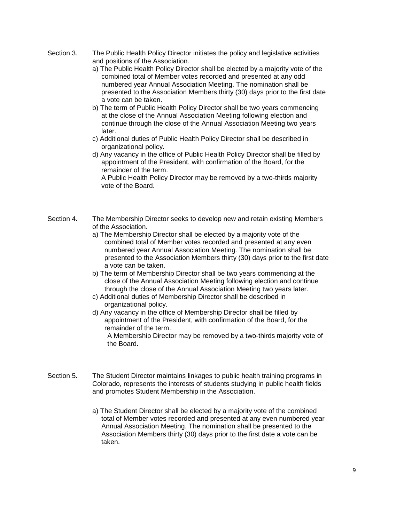- Section 3. The Public Health Policy Director initiates the policy and legislative activities and positions of the Association.
	- a) The Public Health Policy Director shall be elected by a majority vote of the combined total of Member votes recorded and presented at any odd numbered year Annual Association Meeting. The nomination shall be presented to the Association Members thirty (30) days prior to the first date a vote can be taken.
	- b) The term of Public Health Policy Director shall be two years commencing at the close of the Annual Association Meeting following election and continue through the close of the Annual Association Meeting two years later.
	- c) Additional duties of Public Health Policy Director shall be described in organizational policy.
	- d) Any vacancy in the office of Public Health Policy Director shall be filled by appointment of the President, with confirmation of the Board, for the remainder of the term.

 A Public Health Policy Director may be removed by a two-thirds majority vote of the Board.

- The Membership Director seeks to develop new and retain existing Members of the Association. Section 4.
	- a) The Membership Director shall be elected by a majority vote of the combined total of Member votes recorded and presented at any even numbered year Annual Association Meeting. The nomination shall be presented to the Association Members thirty (30) days prior to the first date a vote can be taken.
	- b) The term of Membership Director shall be two years commencing at the close of the Annual Association Meeting following election and continue through the close of the Annual Association Meeting two years later.
	- c) Additional duties of Membership Director shall be described in organizational policy.
	- d) Any vacancy in the office of Membership Director shall be filled by appointment of the President, with confirmation of the Board, for the remainder of the term.

 A Membership Director may be removed by a two-thirds majority vote of the Board.

- The Student Director maintains linkages to public health training programs in Colorado, represents the interests of students studying in public health fields and promotes Student Membership in the Association. Section 5.
	- a) The Student Director shall be elected by a majority vote of the combined total of Member votes recorded and presented at any even numbered year Annual Association Meeting. The nomination shall be presented to the Association Members thirty (30) days prior to the first date a vote can be taken.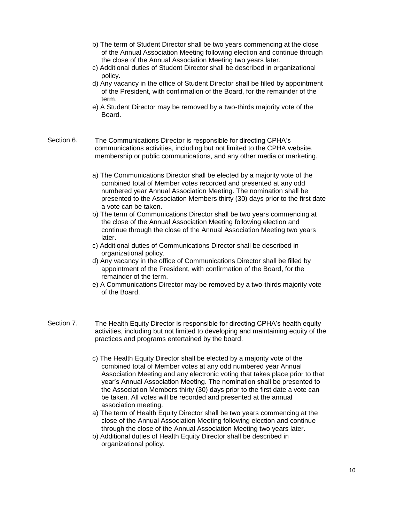- b) The term of Student Director shall be two years commencing at the close of the Annual Association Meeting following election and continue through the close of the Annual Association Meeting two years later.
- c) Additional duties of Student Director shall be described in organizational policy.
- d) Any vacancy in the office of Student Director shall be filled by appointment of the President, with confirmation of the Board, for the remainder of the term.
- e) A Student Director may be removed by a two-thirds majority vote of the Board.
- Section 6. The Communications Director is responsible for directing CPHA's communications activities, including but not limited to the CPHA website, membership or public communications, and any other media or marketing.
	- a) The Communications Director shall be elected by a majority vote of the combined total of Member votes recorded and presented at any odd numbered year Annual Association Meeting. The nomination shall be presented to the Association Members thirty (30) days prior to the first date a vote can be taken.
	- b) The term of Communications Director shall be two years commencing at the close of the Annual Association Meeting following election and continue through the close of the Annual Association Meeting two years later.
	- c) Additional duties of Communications Director shall be described in organizational policy.
	- d) Any vacancy in the office of Communications Director shall be filled by appointment of the President, with confirmation of the Board, for the remainder of the term.
	- e) A Communications Director may be removed by a two-thirds majority vote of the Board.
- Section 7. The Health Equity Director is responsible for directing CPHA's health equity activities, including but not limited to developing and maintaining equity of the practices and programs entertained by the board.
	- c) The Health Equity Director shall be elected by a majority vote of the combined total of Member votes at any odd numbered year Annual Association Meeting and any electronic voting that takes place prior to that year's Annual Association Meeting. The nomination shall be presented to the Association Members thirty (30) days prior to the first date a vote can be taken. All votes will be recorded and presented at the annual association meeting.
	- a) The term of Health Equity Director shall be two years commencing at the close of the Annual Association Meeting following election and continue through the close of the Annual Association Meeting two years later.
	- b) Additional duties of Health Equity Director shall be described in organizational policy.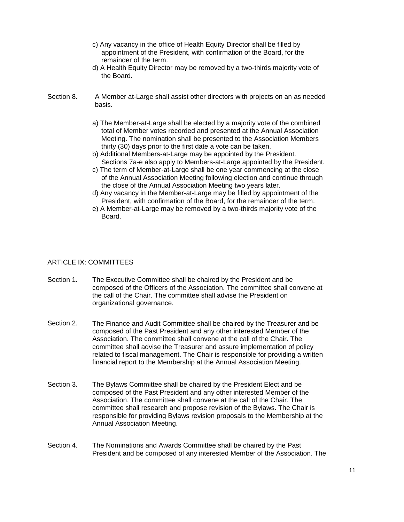- c) Any vacancy in the office of Health Equity Director shall be filled by appointment of the President, with confirmation of the Board, for the remainder of the term.
- d) A Health Equity Director may be removed by a two-thirds majority vote of the Board.
- Section 8. A Member at-Large shall assist other directors with projects on an as needed basis.
	- a) The Member-at-Large shall be elected by a majority vote of the combined total of Member votes recorded and presented at the Annual Association Meeting. The nomination shall be presented to the Association Members thirty (30) days prior to the first date a vote can be taken.
	- b) Additional Members-at-Large may be appointed by the President. Sections 7a-e also apply to Members-at-Large appointed by the President.
	- c) The term of Member-at-Large shall be one year commencing at the close of the Annual Association Meeting following election and continue through the close of the Annual Association Meeting two years later.
	- d) Any vacancy in the Member-at-Large may be filled by appointment of the President, with confirmation of the Board, for the remainder of the term.
	- e) A Member-at-Large may be removed by a two-thirds majority vote of the Board.

#### ARTICLE IX: COMMITTEES

- Section 1. The Executive Committee shall be chaired by the President and be composed of the Officers of the Association. The committee shall convene at the call of the Chair. The committee shall advise the President on organizational governance.
- The Finance and Audit Committee shall be chaired by the Treasurer and be composed of the Past President and any other interested Member of the Association. The committee shall convene at the call of the Chair. The committee shall advise the Treasurer and assure implementation of policy related to fiscal management. The Chair is responsible for providing a written financial report to the Membership at the Annual Association Meeting. Section 2.
- The Bylaws Committee shall be chaired by the President Elect and be composed of the Past President and any other interested Member of the Association. The committee shall convene at the call of the Chair. The committee shall research and propose revision of the Bylaws. The Chair is responsible for providing Bylaws revision proposals to the Membership at the Annual Association Meeting. Section 3.
- The Nominations and Awards Committee shall be chaired by the Past President and be composed of any interested Member of the Association. The Section 4.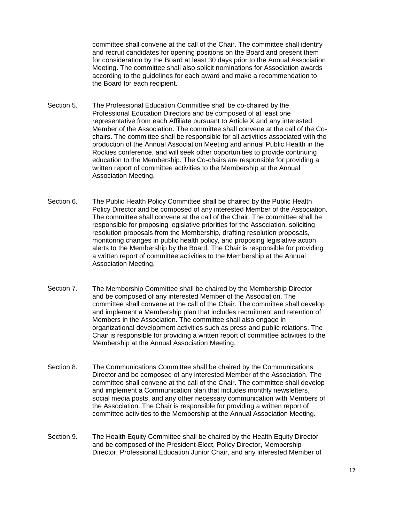committee shall convene at the call of the Chair. The committee shall identify and recruit candidates for opening positions on the Board and present them for consideration by the Board at least 30 days prior to the Annual Association Meeting. The committee shall also solicit nominations for Association awards according to the guidelines for each award and make a recommendation to the Board for each recipient.

- Section 5. The Professional Education Committee shall be co-chaired by the Professional Education Directors and be composed of at least one representative from each Affiliate pursuant to Article X and any interested Member of the Association. The committee shall convene at the call of the Cochairs. The committee shall be responsible for all activities associated with the production of the Annual Association Meeting and annual Public Health in the Rockies conference, and will seek other opportunities to provide continuing education to the Membership. The Co-chairs are responsible for providing a written report of committee activities to the Membership at the Annual Association Meeting.
- The Public Health Policy Committee shall be chaired by the Public Health Policy Director and be composed of any interested Member of the Association. The committee shall convene at the call of the Chair. The committee shall be responsible for proposing legislative priorities for the Association, soliciting resolution proposals from the Membership, drafting resolution proposals, monitoring changes in public health policy, and proposing legislative action alerts to the Membership by the Board. The Chair is responsible for providing a written report of committee activities to the Membership at the Annual Association Meeting. Section 6.
- The Membership Committee shall be chaired by the Membership Director and be composed of any interested Member of the Association. The committee shall convene at the call of the Chair. The committee shall develop and implement a Membership plan that includes recruitment and retention of Members in the Association. The committee shall also engage in organizational development activities such as press and public relations. The Chair is responsible for providing a written report of committee activities to the Membership at the Annual Association Meeting. Section 7.
- The Communications Committee shall be chaired by the Communications Director and be composed of any interested Member of the Association. The committee shall convene at the call of the Chair. The committee shall develop and implement a Communication plan that includes monthly newsletters, social media posts, and any other necessary communication with Members of the Association. The Chair is responsible for providing a written report of committee activities to the Membership at the Annual Association Meeting. Section 8.
- The Health Equity Committee shall be chaired by the Health Equity Director and be composed of the President-Elect, Policy Director, Membership Director, Professional Education Junior Chair, and any interested Member of Section 9.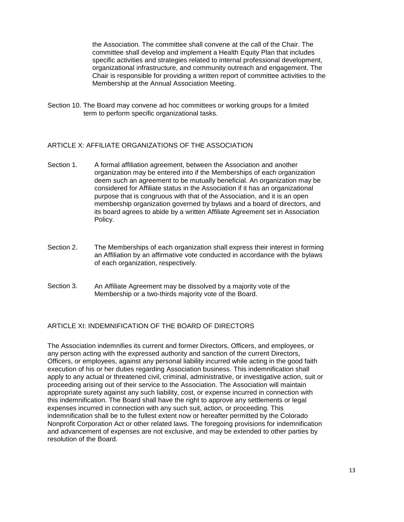the Association. The committee shall convene at the call of the Chair. The committee shall develop and implement a Health Equity Plan that includes specific activities and strategies related to internal professional development, organizational infrastructure, and community outreach and engagement. The Chair is responsible for providing a written report of committee activities to the Membership at the Annual Association Meeting.

Section 10. The Board may convene ad hoc committees or working groups for a limited term to perform specific organizational tasks.

#### ARTICLE X: AFFILIATE ORGANIZATIONS OF THE ASSOCIATION

- Section 1. A formal affiliation agreement, between the Association and another organization may be entered into if the Memberships of each organization deem such an agreement to be mutually beneficial. An organization may be considered for Affiliate status in the Association if it has an organizational purpose that is congruous with that of the Association, and it is an open membership organization governed by bylaws and a board of directors, and its board agrees to abide by a written Affiliate Agreement set in Association Policy.
- The Memberships of each organization shall express their interest in forming an Affiliation by an affirmative vote conducted in accordance with the bylaws of each organization, respectively. Section 2.
- An Affiliate Agreement may be dissolved by a majority vote of the Membership or a two-thirds majority vote of the Board. Section 3.

#### ARTICLE XI: INDEMNIFICATION OF THE BOARD OF DIRECTORS

The Association indemnifies its current and former Directors, Officers, and employees, or any person acting with the expressed authority and sanction of the current Directors, Officers, or employees, against any personal liability incurred while acting in the good faith execution of his or her duties regarding Association business. This indemnification shall apply to any actual or threatened civil, criminal, administrative, or investigative action, suit or proceeding arising out of their service to the Association. The Association will maintain appropriate surety against any such liability, cost, or expense incurred in connection with this indemnification. The Board shall have the right to approve any settlements or legal expenses incurred in connection with any such suit, action, or proceeding. This indemnification shall be to the fullest extent now or hereafter permitted by the Colorado Nonprofit Corporation Act or other related laws. The foregoing provisions for indemnification and advancement of expenses are not exclusive, and may be extended to other parties by resolution of the Board.